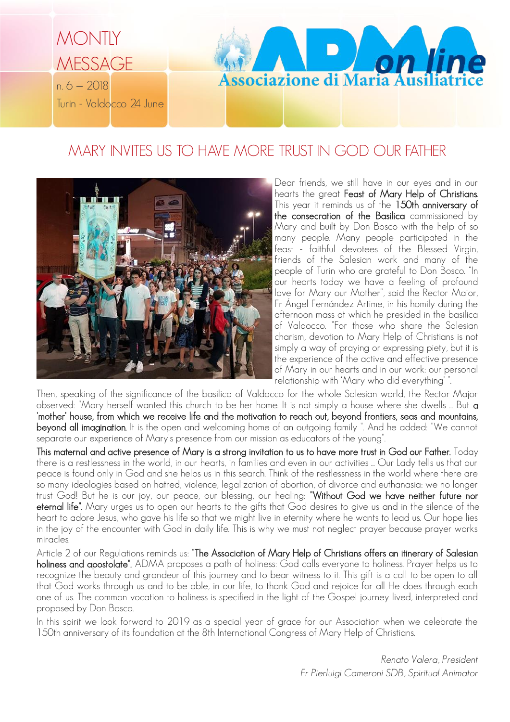

## MARY INVITES US TO HAVE MORE TRUST IN GOD OUR FATHER



Dear friends, we still have in our eyes and in our hearts the great Feast of Mary Help of Christians. This year it reminds us of the 150th anniversary of the consecration of the Basilica commissioned by Mary and built by Don Bosco with the help of so many people. Many people participated in the feast - faithful devotees of the Blessed Virgin, friends of the Salesian work and many of the people of Turin who are grateful to Don Bosco. "In our hearts today we have a feeling of profound love for Mary our Mother", said the Rector Major, Fr Ángel Fernández Artime, in his homily during the afternoon mass at which he presided in the basilica of Valdocco. "For those who share the Salesian charism, devotion to Mary Help of Christians is not simply a way of praying or expressing piety, but it is the experience of the active and effective presence of Mary in our hearts and in our work: our personal relationship with 'Mary who did everything' ".

Then, speaking of the significance of the basilica of Valdocco for the whole Salesian world, the Rector Major observed: "Mary herself wanted this church to be her home. It is not simply a house where she dwells ... But a 'mother' house, from which we receive life and the motivation to reach out, beyond frontiers, seas and mountains, beyond all imagination. It is the open and welcoming home of an outgoing family ". And he added: "We cannot separate our experience of Mary's presence from our mission as educators of the young".

This maternal and active presence of Mary is a strong invitation to us to have more trust in God our Father. Today there is a restlessness in the world, in our hearts, in families and even in our activities ... Our Lady tells us that our peace is found only in God and she helps us in this search. Think of the restlessness in the world where there are so many ideologies based on hatred, violence, legalization of abortion, of divorce and euthanasia: we no longer trust God! But he is our joy, our peace, our blessing, our healing: **"Without God we have neither future nor** eternal life". Mary urges us to open our hearts to the gifts that God desires to give us and in the silence of the heart to adore Jesus, who gave his life so that we might live in eternity where he wants to lead us. Our hope lies in the joy of the encounter with God in daily life. This is why we must not neglect prayer because prayer works miracles.

Article 2 of our Regulations reminds us: "The Association of Mary Help of Christians offers an itinerary of Salesian holiness and apostolate". ADMA proposes a path of holiness: God calls everyone to holiness. Prayer helps us to recognize the beauty and grandeur of this journey and to bear witness to it. This gift is a call to be open to all that God works through us and to be able, in our life, to thank God and rejoice for all He does through each one of us. The common vocation to holiness is specified in the light of the Gospel journey lived, interpreted and proposed by Don Bosco.

In this spirit we look forward to 2019 as a special year of grace for our Association when we celebrate the 150th anniversary of its foundation at the 8th International Congress of Mary Help of Christians.

> *Renato Valera, President Fr Pierluigi Cameroni SDB, Spiritual Animator*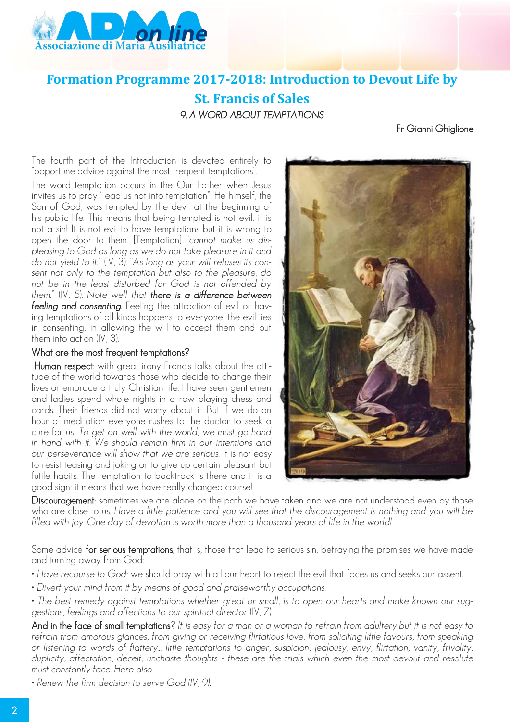

## **Formation Programme 2017-2018: Introduction to Devout Life by**

## **St. Francis of Sales** *9. A WORD ABOUT TEMPTATIONS*

Fr Gianni Ghiglione

The fourth part of the Introduction is devoted entirely to "opportune advice against the most frequent temptations".

The word temptation occurs in the Our Father when Jesus invites us to pray "lead us not into temptation". He himself, the Son of God, was tempted by the devil at the beginning of his public life. This means that being tempted is not evil, it is not a sin! It is not evil to have temptations but it is wrong to open the door to them! [Temptation] *"cannot make us displeasing to God as long as we do not take pleasure in it and do not yield to it."* (IV, 3). "*As long as your will refuses its consent not only to the temptation but also to the pleasure, do not be in the least disturbed for God is not offended by them*." (IV, 5). *Note well that there is a difference between feeling and consenting*. Feeling the attraction of evil or having temptations of all kinds happens to everyone; the evil lies in consenting, in allowing the will to accept them and put them into action (IV, 3).

#### What are the most frequent temptations?

Human respect: with great irony Francis talks about the attitude of the world towards those who decide to change their lives or embrace a truly Christian life. I have seen gentlemen and ladies spend whole nights in a row playing chess and cards. Their friends did not worry about it. But if we do an hour of meditation everyone rushes to the doctor to seek a cure for us! *To get on well with the world, we must go hand in hand with it. We should remain firm in our intentions and our perseverance will show that we are serious.* It is not easy to resist teasing and joking or to give up certain pleasant but futile habits. The temptation to backtrack is there and it is a good sign: it means that we have really changed course!



Discouragement: sometimes we are alone on the path we have taken and we are not understood even by those who are close to us*. Have a little patience and you will see that the discouragement is nothing and you will be filled with joy. One day of devotion is worth more than a thousand years of life in the world!*

Some advice for serious temptations, that is, those that lead to serious sin, betraying the promises we have made and turning away from God:

- *Have recourse to God:* we should pray with all our heart to reject the evil that faces us and seeks our assent.
- *Divert your mind from it by means of good and praiseworthy occupations.*
- *The best remedy against temptations whether great or small, is to open our hearts and make known our suggestions, feelings and affections to our spiritual director* (IV, 7).

And in the face of small temptations? *It is easy for a man or a woman to refrain from adultery but it is not easy to*  refrain from amorous glances, from giving or receiving flirtatious love, from soliciting little favours, from speaking *or listening to words of flattery… little temptations to anger, suspicion, jealousy, envy, flirtation, vanity, frivolity, duplicity, affectation, deceit, unchaste thoughts - these are the trials which even the most devout and resolute must constantly face. Here also*

*• Renew the firm decision to serve God (IV, 9).*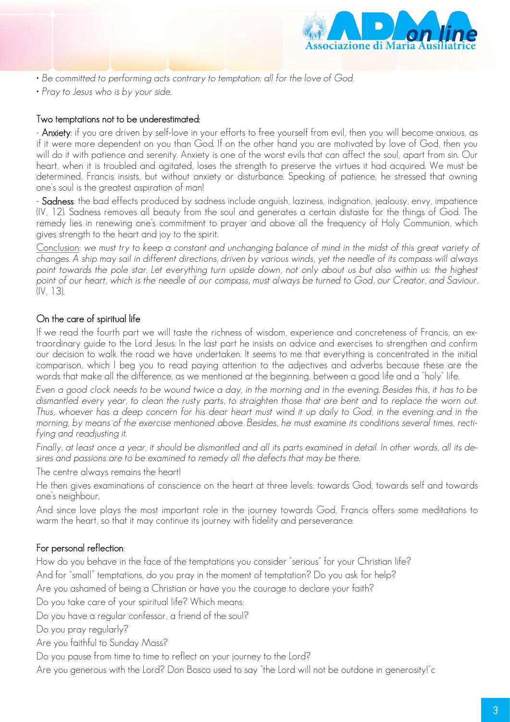

- *Be committed to performing acts contrary to temptation: all for the love of God.*
- *Pray to Jesus who is by your side.*

#### Two temptations not to be underestimated:

- Anxiety: if you are driven by self-love in your efforts to free yourself from evil, then you will become anxious, as if it were more dependent on you than God. If on the other hand you are motivated by love of God, then you will do it with patience and serenity. Anxiety is one of the worst evils that can affect the soul, apart from sin. Our heart, when it is troubled and agitated, loses the strength to preserve the virtues it had acquired. We must be determined, Francis insists, but without anxiety or disturbance. Speaking of patience, he stressed that owning one's soul is the greatest aspiration of man!

- Sadness: the bad effects produced by sadness include anguish, laziness, indignation, jealousy, envy, impatience (IV, 12). Sadness removes all beauty from the soul and generates a certain distaste for the things of God. The remedy lies in renewing one's commitment to prayer and above all the frequency of Holy Communion, which gives strength to the heart and joy to the spirit.

Conclusion: *we must try to keep a constant and unchanging balance of mind in the midst of this great variety of changes. A ship may sail in different directions, driven by various winds, yet the needle of its compass will always*  point towards the pole star. Let everything turn upside down, not only about us but also within us: the highest *point of our heart, which is the needle of our compass, must always be turned to God, our Creator, and Saviour*. (IV, 13).

## On the care of spiritual life

If we read the fourth part we will taste the richness of wisdom, experience and concreteness of Francis, an extraordinary guide to the Lord Jesus. In the last part he insists on advice and exercises to strengthen and confirm our decision to walk the road we have undertaken. It seems to me that everything is concentrated in the initial comparison, which I beg you to read paying attention to the adjectives and adverbs because these are the words that make all the difference, as we mentioned at the beginning, between a good life and a "holy" life.

*Even a good clock needs to be wound twice a day, in the morning and in the evening. Besides this, it has to be dismantled every year, to clean the rusty parts, to straighten those that are bent and to replace the worn out. Thus, whoever has a deep concern for his dear heart must wind it up daily to God, in the evening and in the morning, by means of the exercise mentioned above. Besides, he must examine its conditions several times, rectifying and readjusting it.*

*Finally, at least once a year, it should be dismantled and all its parts examined in detail. In other words, all its desires and passions are to be examined to remedy all the defects that may be there.*

The centre always remains the heart!

He then gives examinations of conscience on the heart at three levels: towards God, towards self and towards one's neighbour.

And since love plays the most important role in the journey towards God, Francis offers some meditations to warm the heart, so that it may continue its journey with fidelity and perseverance.

## For personal reflection:

How do you behave in the face of the temptations you consider "serious" for your Christian life?

And for "small" temptations, do you pray in the moment of temptation? Do you ask for help?

Are you ashamed of being a Christian or have you the courage to declare your faith?

Do you take care of your spiritual life? Which means:

Do you have a regular confessor, a friend of the soul?

Do you pray regularly?

Are you faithful to Sunday Mass?

Do you pause from time to time to reflect on your journey to the Lord?

Are you generous with the Lord? Don Bosco used to say "the Lord will not be outdone in generosity!"c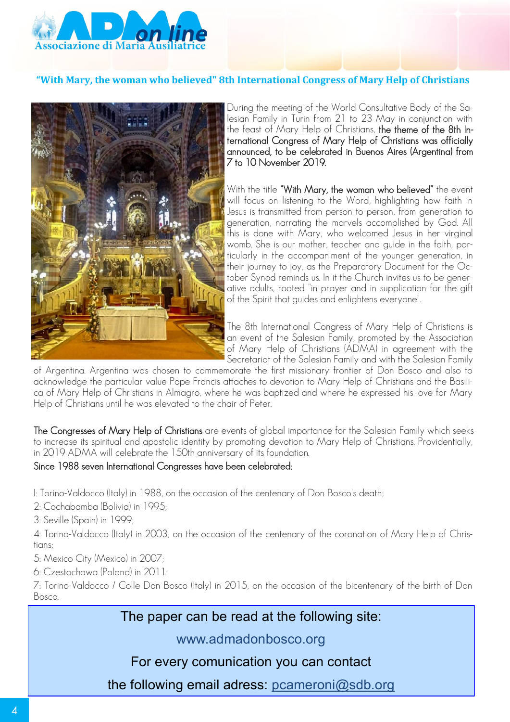

## **"With Mary, the woman who believed" 8th International Congress of Mary Help of Christians**



During the meeting of the World Consultative Body of the Salesian Family in Turin from 21 to 23 May in conjunction with the feast of Mary Help of Christians, the theme of the 8th International Congress of Mary Help of Christians was officially announced, to be celebrated in Buenos Aires (Argentina) from 7 to 10 November 2019.

With the title "With Mary, the woman who believed" the event will focus on listening to the Word, highlighting how faith in Jesus is transmitted from person to person, from generation to generation, narrating the marvels accomplished by God. All this is done with Mary, who welcomed Jesus in her virginal womb. She is our mother, teacher and guide in the faith, particularly in the accompaniment of the younger generation, in their journey to joy, as the Preparatory Document for the October Synod reminds us. In it the Church invites us to be generative adults, rooted "in prayer and in supplication for the gift of the Spirit that guides and enlightens everyone".

The 8th International Congress of Mary Help of Christians is an event of the Salesian Family, promoted by the Association of Mary Help of Christians (ADMA) in agreement with the Secretariat of the Salesian Family and with the Salesian Family

of Argentina. Argentina was chosen to commemorate the first missionary frontier of Don Bosco and also to acknowledge the particular value Pope Francis attaches to devotion to Mary Help of Christians and the Basilica of Mary Help of Christians in Almagro, where he was baptized and where he expressed his love for Mary Help of Christians until he was elevated to the chair of Peter.

The Congresses of Mary Help of Christians are events of global importance for the Salesian Family which seeks to increase its spiritual and apostolic identity by promoting devotion to Mary Help of Christians. Providentially, in 2019 ADMA will celebrate the 150th anniversary of its foundation.

#### Since 1988 seven International Congresses have been celebrated:

I: Torino-Valdocco (Italy) in 1988, on the occasion of the centenary of Don Bosco's death;

2: Cochabamba (Bolivia) in 1995;

3: Seville (Spain) in 1999;

4: Torino-Valdocco (Italy) in 2003, on the occasion of the centenary of the coronation of Mary Help of Christians;

5: Mexico City (Mexico) in 2007;

6: Czestochowa (Poland) in 2011:

7: Torino-Valdocco / Colle Don Bosco (Italy) in 2015, on the occasion of the bicentenary of the birth of Don Bosco.

The paper can be read at the following site:

www.admadonbosco.org

## For every comunication you can contact

the following email adress: pcameroni@sdb.org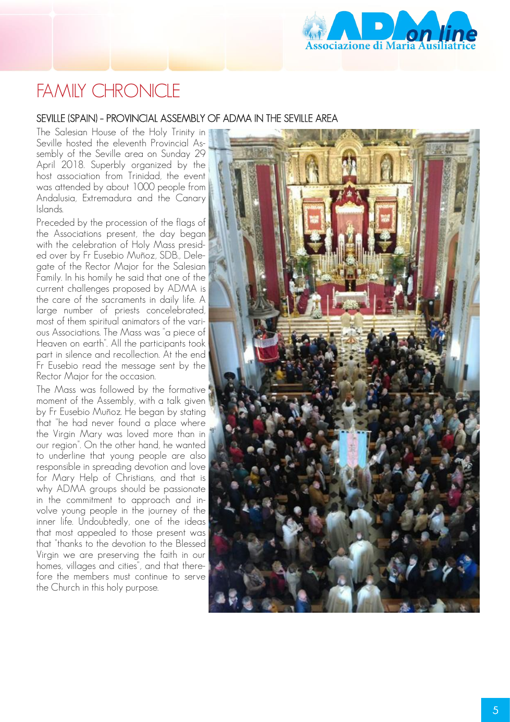

# FAMILY CHRONICLE

## SEVILLE (SPAIN) – PROVINCIAL ASSEMBLY OF ADMA IN THE SEVILLE AREA

The Salesian House of the Holy Trinity in Seville hosted the eleventh Provincial Assembly of the Seville area on Sunday 29 April 2018. Superbly organized by the host association from Trinidad, the event was attended by about 1000 people from Andalusia, Extremadura and the Canary Islands.

Preceded by the procession of the flags of the Associations present, the day began with the celebration of Holy Mass presided over by Fr Eusebio Muñoz, SDB., Delegate of the Rector Major for the Salesian Family. In his homily he said that one of the current challenges proposed by ADMA is the care of the sacraments in daily life. A large number of priests concelebrated, most of them spiritual animators of the various Associations. The Mass was "a piece of Heaven on earth". All the participants took part in silence and recollection. At the end Fr Eusebio read the message sent by the Rector Major for the occasion.

The Mass was followed by the formative moment of the Assembly, with a talk given by Fr Eusebio Muñoz. He began by stating that "he had never found a place where the Virgin Mary was loved more than in our region". On the other hand, he wanted to underline that young people are also responsible in spreading devotion and love for Mary Help of Christians, and that is why ADMA groups should be passionate in the commitment to approach and involve young people in the journey of the inner life. Undoubtedly, one of the ideas that most appealed to those present was that "thanks to the devotion to the Blessed Virgin we are preserving the faith in our homes, villages and cities", and that therefore the members must continue to serve the Church in this holy purpose.

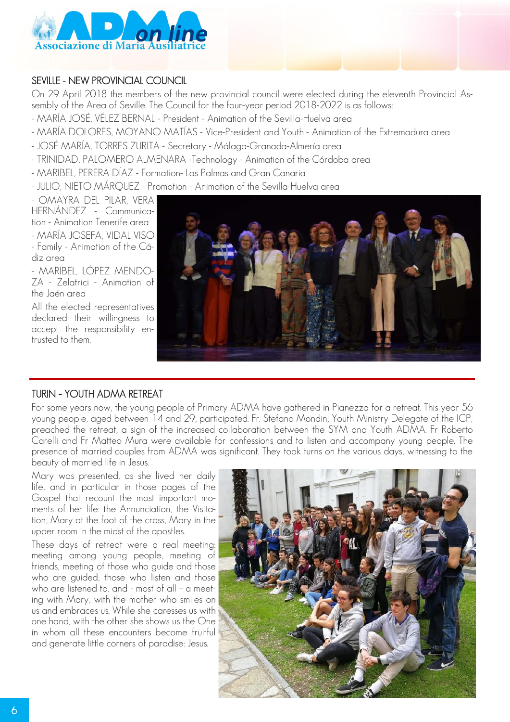

## SEVILLE - NEW PROVINCIAL COUNCIL

On 29 April 2018 the members of the new provincial council were elected during the eleventh Provincial Assembly of the Area of Seville. The Council for the four-year period 2018-2022 is as follows:

- MARÍA JOSÉ, VÉLEZ BERNAL President Animation of the Sevilla-Huelva area
- MARÍA DOLORES, MOYANO MATÍAS Vice-President and Youth Animation of the Extremadura area
- JOSÉ MARÍA, TORRES ZURITA Secretary Málaga-Granada-Almería area
- TRINIDAD, PALOMERO ALMENARA -Technology Animation of the Córdoba area
- MARIBEL, PERERA DÍAZ Formation- Las Palmas and Gran Canaria
- JULIO, NIETO MÁRQUEZ Promotion Animation of the Sevilla-Huelva area

- OMAYRA DEL PILAR, VERA HERNÁNDEZ - Communication - Animation Tenerife area - MARÍA JOSEFA, VIDAL VISO - Family - Animation of the Cádiz area

- MARIBEL, LÓPEZ MENDO-ZA - Zelatrici - Animation of the Jaén area

All the elected representatives declared their willingness to accept the responsibility entrusted to them.



## TURIN – YOUTH ADMA RETREAT

i

For some years now, the young people of Primary ADMA have gathered in Pianezza for a retreat. This year 56 young people, aged between 14 and 29, participated. Fr. Stefano Mondin, Youth Ministry Delegate of the ICP, preached the retreat, a sign of the increased collaboration between the SYM and Youth ADMA. Fr Roberto Carelli and Fr Matteo Mura were available for confessions and to listen and accompany young people. The presence of married couples from ADMA was significant. They took turns on the various days, witnessing to the beauty of married life in Jesus.

Mary was presented, as she lived her daily life, and in particular in those pages of the Gospel that recount the most important moments of her life: the Annunciation, the Visitation, Mary at the foot of the cross, Mary in the upper room in the midst of the apostles.

These days of retreat were a real meeting: meeting among young people, meeting of friends, meeting of those who guide and those who are guided, those who listen and those who are listened to, and - most of all – a meeting with Mary, with the mother who smiles on us and embraces us. While she caresses us with one hand, with the other she shows us the One in whom all these encounters become fruitful and generate little corners of paradise: Jesus.

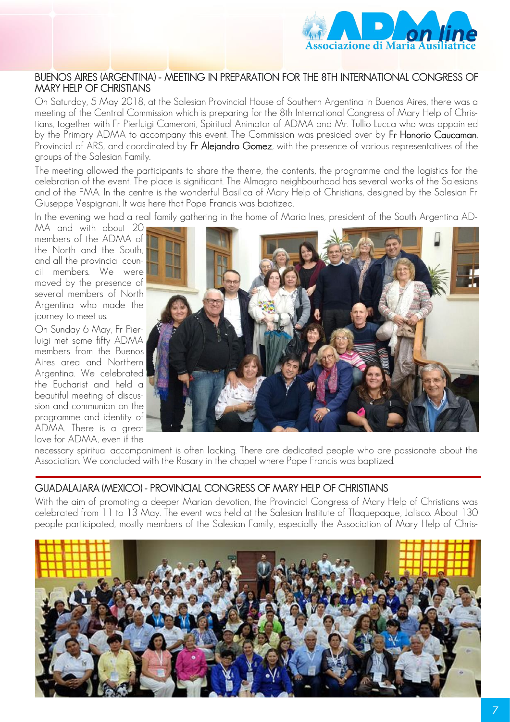

## BUENOS AIRES (ARGENTINA) - MEETING IN PREPARATION FOR THE 8TH INTERNATIONAL CONGRESS OF MARY HELP OF CHRISTIANS

On Saturday, 5 May 2018, at the Salesian Provincial House of Southern Argentina in Buenos Aires, there was a meeting of the Central Commission which is preparing for the 8th International Congress of Mary Help of Christians, together with Fr Pierluigi Cameroni, Spiritual Animator of ADMA and Mr. Tullio Lucca who was appointed by the Primary ADMA to accompany this event. The Commission was presided over by Fr Honorio Caucaman, Provincial of ARS, and coordinated by Fr Alejandro Gomez, with the presence of various representatives of the groups of the Salesian Family.

The meeting allowed the participants to share the theme, the contents, the programme and the logistics for the celebration of the event. The place is significant. The Almagro neighbourhood has several works of the Salesians and of the FMA. In the centre is the wonderful Basilica of Mary Help of Christians, designed by the Salesian Fr Giuseppe Vespignani. It was here that Pope Francis was baptized.

In the evening we had a real family gathering in the home of Maria Ines, president of the South Argentina AD-

MA and with about 20 members of the ADMA of the North and the South, and all the provincial council members. We were moved by the presence of several members of North Argentina who made the journey to meet us.

On Sunday 6 May, Fr Pierluigi met some fifty ADMA members from the Buenos Aires area and Northern Argentina. We celebrated the Eucharist and held a beautiful meeting of discussion and communion on the programme and identity of ADMA. There is a great love for ADMA, even if the

l



necessary spiritual accompaniment is often lacking. There are dedicated people who are passionate about the Association. We concluded with the Rosary in the chapel where Pope Francis was baptized.

## GUADALAJARA (MEXICO) - PROVINCIAL CONGRESS OF MARY HELP OF CHRISTIANS

With the aim of promoting a deeper Marian devotion, the Provincial Congress of Mary Help of Christians was celebrated from 11 to 13 May. The event was held at the Salesian Institute of Tlaquepaque, Jalisco. About 130 people participated, mostly members of the Salesian Family, especially the Association of Mary Help of Chris-

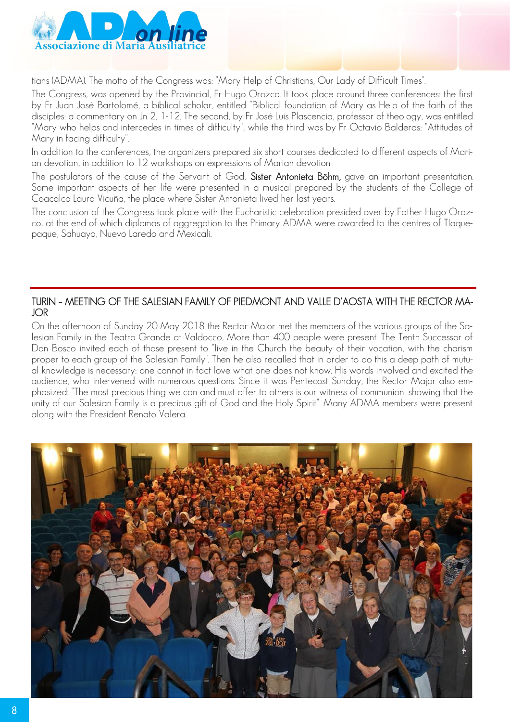

tians (ADMA). The motto of the Congress was: "Mary Help of Christians, Our Lady of Difficult Times".

The Congress, was opened by the Provincial, Fr Hugo Orozco. It took place around three conferences: the first by Fr Juan José Bartolomé, a biblical scholar, entitled "Biblical foundation of Mary as Help of the faith of the disciples: a commentary on Jn 2, 1-12. The second, by Fr José Luis Plascencia, professor of theology, was entitled "Mary who helps and intercedes in times of difficulty", while the third was by Fr Octavio Balderas: "Attitudes of Mary in facing difficulty".

In addition to the conferences, the organizers prepared six short courses dedicated to different aspects of Marian devotion, in addition to 12 workshops on expressions of Marian devotion.

The postulators of the cause of the Servant of God, Sister Antonieta Böhm, gave an important presentation. Some important aspects of her life were presented in a musical prepared by the students of the College of Coacalco Laura Vicuña, the place where Sister Antonieta lived her last years.

The conclusion of the Congress took place with the Eucharistic celebration presided over by Father Hugo Orozco, at the end of which diplomas of aggregation to the Primary ADMA were awarded to the centres of Tlaquepaque, Sahuayo, Nuevo Laredo and Mexicali.

## TURIN – MEETING OF THE SALESIAN FAMILY OF PIEDMONT AND VALLE D'AOSTA WITH THE RECTOR MA-JOR

On the afternoon of Sunday 20 May 2018 the Rector Major met the members of the various groups of the Salesian Family in the Teatro Grande at Valdocco, More than 400 people were present. The Tenth Successor of Don Bosco invited each of those present to "live in the Church the beauty of their vocation, with the charism proper to each group of the Salesian Family". Then he also recalled that in order to do this a deep path of mutual knowledge is necessary: one cannot in fact love what one does not know. His words involved and excited the audience, who intervened with numerous questions. Since it was Pentecost Sunday, the Rector Major also emphasized: "The most precious thing we can and must offer to others is our witness of communion: showing that the unity of our Salesian Family is a precious gift of God and the Holy Spirit". Many ADMA members were present along with the President Renato Valera.



j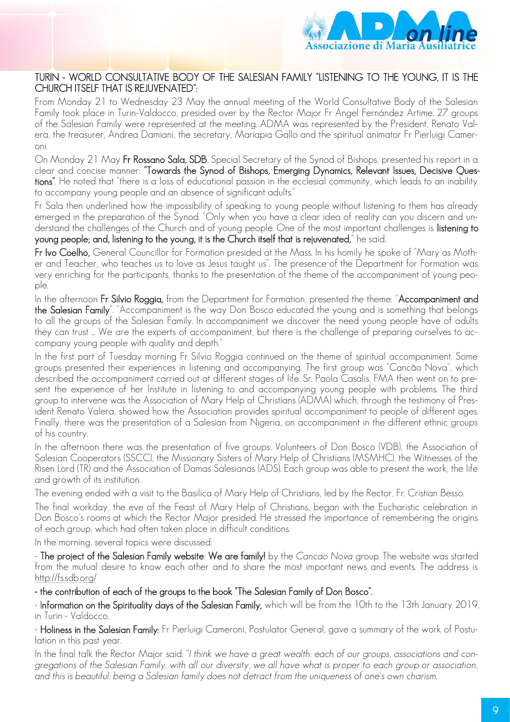

## TURIN - WORLD CONSULTATIVE BODY OF THE SALESIAN FAMILY "LISTENING TO THE YOUNG, IT IS THE CHURCH ITSELF THAT IS REJUVENATED":

From Monday 21 to Wednesday 23 May the annual meeting of the World Consultative Body of the Salesian Family took place in Turin-Valdocco, presided over by the Rector Major Fr Ángel Fernández Artime. 27 groups of the Salesian Family were represented at the meeting. ADMA was represented by the President, Renato Valera, the treasurer, Andrea Damiani, the secretary, Mariapia Gallo and the spiritual animator Fr Pierluigi Cameroni.

On Monday 21 May Fr Rossano Sala, SDB, Special Secretary of the Synod of Bishops, presented his report in a clear and concise manner: "Towards the Synod of Bishops, Emerging Dynamics, Relevant Issues, Decisive Questions". He noted that "there is a loss of educational passion in the ecclesial community, which leads to an inability to accompany young people and an absence of significant adults."

Fr Sala then underlined how the impossibility of speaking to young people without listening to them has already emerged in the preparation of the Synod. "Only when you have a clear idea of reality can you discern and understand the challenges of the Church and of young people. One of the most important challenges is listening to young people; and, listening to the young, it is the Church itself that is rejuvenated," he said.

Fr Ivo Coelho, General Councillor for Formation presided at the Mass. In his homily he spoke of "Mary as Mother and Teacher, who teaches us to love as Jesus taught us". The presence of the Department for Formation was very enriching for the participants, thanks to the presentation of the theme of the accompaniment of young people.

In the afternoon Fr Silvio Roggia, from the Department for Formation, presented the theme: "Accompaniment and the Salesian Family". "Accompaniment is the way Don Bosco educated the young and is something that belongs to all the groups of the Salesian Family. In accompaniment we discover the need young people have of adults they can trust ... We are the experts of accompaniment, but there is the challenge of preparing ourselves to accompany young people with quality and depth."

In the first part of Tuesday morning Fr Silvio Roggia continued on the theme of spiritual accompaniment. Some groups presented their experiences in listening and accompanying. The first group was "Cancão Nova", which described the accompaniment carried out at different stages of life. Sr. Paola Casalis, FMA then went on to present the experience of her Institute in listening to and accompanying young people with problems. The third group to intervene was the Association of Mary Help of Christians (ADMA) which, through the testimony of President Renato Valera, showed how the Association provides spiritual accompaniment to people of different ages. Finally, there was the presentation of a Salesian from Nigeria, on accompaniment in the different ethnic groups of his country.

In the afternoon there was the presentation of five groups: Volunteers of Don Bosco (VDB), the Association of Salesian Cooperators (SSCC), the Missionary Sisters of Mary Help of Christians (MSMHC), the Witnesses of the Risen Lord (TR) and the Association of Damas Salesianas (ADS). Each group was able to present the work, the life and growth of its institution.

The evening ended with a visit to the Basilica of Mary Help of Christians, led by the Rector, Fr. Cristian Besso.

The final workday, the eve of the Feast of Mary Help of Christians, began with the Eucharistic celebration in Don Bosco's rooms at which the Rector Major presided. He stressed the importance of remembering the origins of each group, which had often taken place in difficult conditions.

In the morning, several topics were discussed:

- The project of the Salesian Family website: We are family! by the *Cancao Nova* group. The website was started from the mutual desire to know each other and to share the most important news and events. The address is http://fs.sdb.org/

- the contribution of each of the groups to the book "The Salesian Family of Don Bosco".

- Information on the Spirituality days of the Salesian Family, which will be from the 10th to the 13th January 2019, in Turin - Valdocco.

- Holiness in the Salesian Family: Fr Pierluigi Cameroni, Postulator General, gave a summary of the work of Postulation in this past year.

In the final talk the Rector Major said: "*I think we have a great wealth: each of our groups, associations and congregations of the Salesian Family, with all our diversity, we all have what is proper to each group or association, and this is beautiful: being a Salesian family does not detract from the uniqueness of one's own charism.*